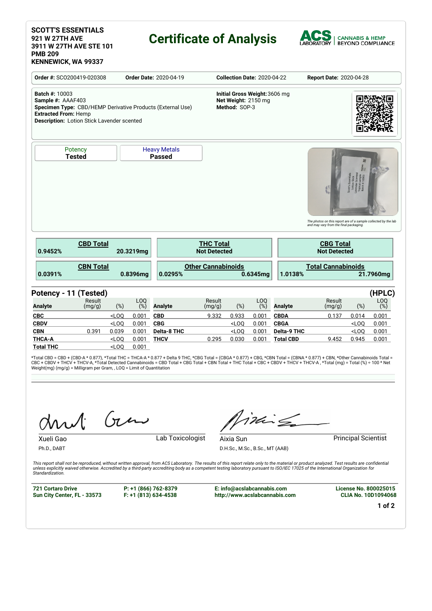#### **SCOTT'S ESSENTIALS 921 W 27TH AVE 3911 W 27TH AVE STE 101 PMB 209 KENNEWICK, WA 99337**

## **Certificate of Analysis**



**Order #:** SCO200419-020308 **Order Date:** 2020-04-19 **Collection Date:** 2020-04-22 **Report Date:** 2020-04-28 **Batch #:** 10003 **Sample #:** AAAF403 **Specimen Type:** CBD/HEMP Derivative Products (External Use) **Extracted From:** Hemp **Description:** Lotion Stick Lavender scented **Initial Gross Weight:**3606 mg **Net Weight:** 2150 mg **Method:** SOP-3 **Potency Tested** Heavy Metals **Passed** The photos on this report are of a sample collected by the lab<br>and may vary from the final packaging. **CBD Total 0.9452% 20.3219mg THC Total Not Detected CBG Total Not Detected CBN Total 0.0391% 0.8396mg Other Cannabinoids 0.0295% 0.6345mg Total Cannabinoids 1.0138% 21.7960mg Potency - 11 (Tested) (HPLC) Analyte** Result (mg/g) (%) LOQ<br>(%) (%) **Analyte** Result (mg/g) (%) LOQ<br>(%) (%) **Analyte** Result (mg/g) (%) LOQ (%) **CBC** <LOQ 0.001 **CBD** 9.332 0.933 0.001 **CBDA** 0.137 0.014 0.001 **CBDV** <LOQ 0.001 **CBG** <LOQ 0.001 **CBGA** <LOQ 0.001 **CBN** 0.391 0.039 0.001 **Delta-8 THC** <LOQ 0.001 **Delta-9 THC** <LOQ 0.001 **THCA-A** <LOQ 0.001 **THCV** 0.295 0.030 0.001 **Total CBD** 9.452 0.945 0.001 **Total THC** <LOQ 0.001

\*Total CBD = CBD + (CBD-A \* 0.877), \*Total THC = THCA-A \* 0.877 + Delta 9 THC, \*CBG Total = (CBGA \* 0.877) + CBG, \*CBN Total = (CBNA \* 0.877) + CBN, \*Other Cannabinoids Total =<br>CBC + CBDV + THCV + THCV-A, \*Total Detected C Weight(mg) (mg/g) = Milligram per Gram, , LOQ = Limit of Quantitation

Gen

Ph.D., DABT

Xueli Gao **Lab Toxicologist** 

inis

**Aixia Sun**<br> **Aixia Sun**<br> **Aixia Sun** D.H.Sc., M.Sc., B.Sc., MT (AAB)

This report shall not be reproduced, without written approval, from ACS Laboratory. The results of this report relate only to the material or product analyzed. Test results are confidential otherwise. Accredited by a third-party accrediting body as a competent testing laboratory pursuant to ISO/IEC 17025 of the International Organization for the content of the international Organization for *Standardization.*

**721 Cortaro Drive Sun City Center, FL - 33573**

**P: +1 (866) 762-8379 F: +1 (813) 634-4538** **E: info@acslabcannabis.com http://www.acslabcannabis.com** **License No. 800025015 CLIA No. 10D1094068**

**1 of 2**